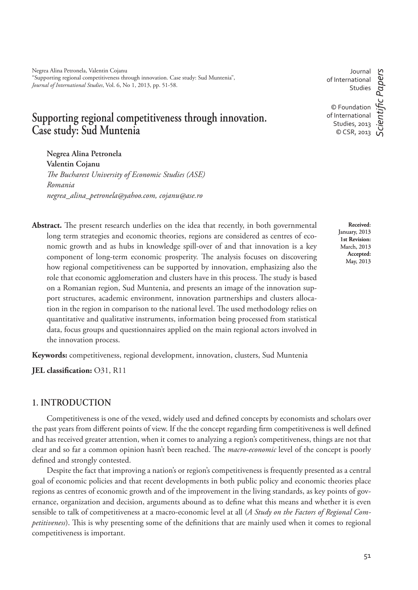Negrea Alina Petronela, Valentin Cojanu "Supporting regional competitiveness through innovation. Case study: Sud Muntenia", *Journal of International Studies*, Vol. 6, No 1, 2013, pp. 51-58.

# **Supporting regional competitiveness through innovation. Case study: Sud Muntenia**

**Negrea Alina Petronela Valentin Cojanu** *# e Bucharest University of Economic Studies (ASE) Romania negrea\_alina\_petronela@yahoo.com, cojanu@ase.ro*

Abstract. The present research underlies on the idea that recently, in both governmental long term strategies and economic theories, regions are considered as centres of economic growth and as hubs in knowledge spill-over of and that innovation is a key component of long-term economic prosperity. The analysis focuses on discovering how regional competitiveness can be supported by innovation, emphasizing also the role that economic agglomeration and clusters have in this process. The study is based on a Romanian region, Sud Muntenia, and presents an image of the innovation support structures, academic environment, innovation partnerships and clusters allocation in the region in comparison to the national level. The used methodology relies on quantitative and qualitative instruments, information being processed from statistical data, focus groups and questionnaires applied on the main regional actors involved in the innovation process.

**Keywords:** competitiveness, regional development, innovation, clusters, Sud Muntenia

**JEL classification:** O31, R11

#### **1. INTRODUCTION**

Competitiveness is one of the vexed, widely used and defined concepts by economists and scholars over the past years from different points of view. If the the concept regarding firm competitiveness is well defined and has received greater attention, when it comes to analyzing a region's competitiveness, things are not that clear and so far a common opinion hasn't been reached. The *macro-economic* level of the concept is poorly defined and strongly contested.

Despite the fact that improving a nation's or region's competitiveness is frequently presented as a central goal of economic policies and that recent developments in both public policy and economic theories place regions as centres of economic growth and of the improvement in the living standards, as key points of governance, organization and decision, arguments abound as to define what this means and whether it is even sensible to talk of competitiveness at a macro-economic level at all (*A Study on the Factors of Regional Competitiveness*). This is why presenting some of the definitions that are mainly used when it comes to regional competitiveness is important.

Journal of International Studies

© Foundation of International Studies, 2013 © CSR, 2013

*ScientiÞ c Papers*

c Papers

**Received**: January, 2013 **1st Revision:**  March, 2013 **Accepted:**  May, 2013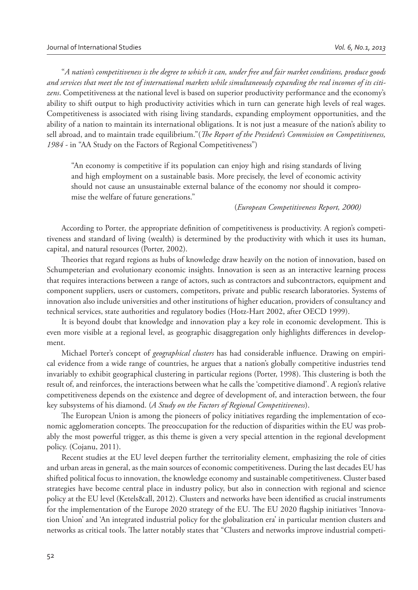"*A nation's competitiveness is the degree to which it can, under free and fair market conditions, produce goods and services that meet the test of international markets while simultaneously expanding the real incomes of its citizens*. Competitiveness at the national level is based on superior productivity performance and the economy's ability to shift output to high productivity activities which in turn can generate high levels of real wages. Competitiveness is associated with rising living standards, expanding employment opportunities, and the ability of a nation to maintain its international obligations. It is not just a measure of the nation's ability to sell abroad, and to maintain trade equilibrium."(*The Report of the President's Commission on Competitiveness*, *1984 -* in "AA Study on the Factors of Regional Competitiveness")

"An economy is competitive if its population can enjoy high and rising standards of living and high employment on a sustainable basis. More precisely, the level of economic activity should not cause an unsustainable external balance of the economy nor should it compromise the welfare of future generations."

(*European Competitiveness Report, 2000)*

According to Porter, the appropriate definition of competitiveness is productivity. A region's competitiveness and standard of living (wealth) is determined by the productivity with which it uses its human, capital, and natural resources (Porter, 2002).

Theories that regard regions as hubs of knowledge draw heavily on the notion of innovation, based on Schumpeterian and evolutionary economic insights. Innovation is seen as an interactive learning process that requires interactions between a range of actors, such as contractors and subcontractors, equipment and component suppliers, users or customers, competitors, private and public research laboratories. Systems of innovation also include universities and other institutions of higher education, providers of consultancy and technical services, state authorities and regulatory bodies (Hotz-Hart 2002, after OECD 1999).

It is beyond doubt that knowledge and innovation play a key role in economic development. This is even more visible at a regional level, as geographic disaggregation only highlights differences in development.

Michael Porter's concept of *geographical clusters* has had considerable influence. Drawing on empirical evidence from a wide range of countries, he argues that a nation's globally competitive industries tend invariably to exhibit geographical clustering in particular regions (Porter, 1998). This clustering is both the result of, and reinforces, the interactions between what he calls the 'competitive diamond'. A region's relative competitiveness depends on the existence and degree of development of, and interaction between, the four key subsystems of his diamond. (*A Study on the Factors of Regional Competitiveness*).

The European Union is among the pioneers of policy initiatives regarding the implementation of economic agglomeration concepts. The preoccupation for the reduction of disparities within the EU was probably the most powerful trigger, as this theme is given a very special attention in the regional development policy. (Cojanu, 2011).

Recent studies at the EU level deepen further the territoriality element, emphasizing the role of cities and urban areas in general, as the main sources of economic competitiveness. During the last decades EU has shifted political focus to innovation, the knowledge economy and sustainable competitiveness. Cluster based strategies have become central place in industry policy, but also in connection with regional and science policy at the EU level (Ketels&all, 2012). Clusters and networks have been identified as crucial instruments for the implementation of the Europe 2020 strategy of the EU. The EU 2020 flagship initiatives 'Innovation Union' and 'An integrated industrial policy for the globalization era' in particular mention clusters and networks as critical tools. The latter notably states that "Clusters and networks improve industrial competi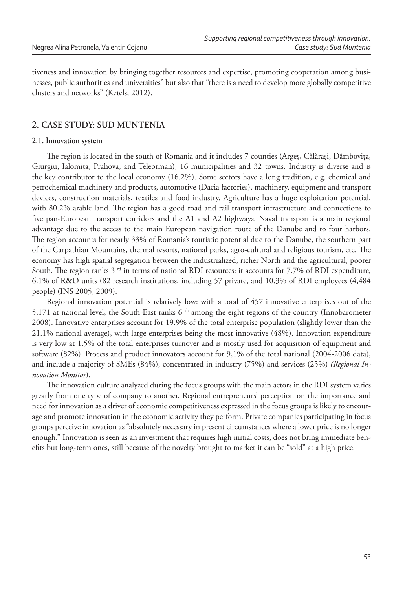tiveness and innovation by bringing together resources and expertise, promoting cooperation among businesses, public authorities and universities" but also that "there is a need to develop more globally competitive clusters and networks" (Ketels, 2012).

## **2. CASE STUDY: SUD MUNTENIA**

#### **2.1. Innovation system**

The region is located in the south of Romania and it includes 7 counties (Argeş, Călărași, Dâmbovița, Giurgiu, Ialomiţa, Prahova, and Teleorman), 16 municipalities and 32 towns. Industry is diverse and is the key contributor to the local economy (16.2%). Some sectors have a long tradition, e.g. chemical and petrochemical machinery and products, automotive (Dacia factories), machinery, equipment and transport devices, construction materials, textiles and food industry. Agriculture has a huge exploitation potential, with 80.2% arable land. The region has a good road and rail transport infrastructure and connections to five pan-European transport corridors and the A1 and A2 highways. Naval transport is a main regional advantage due to the access to the main European navigation route of the Danube and to four harbors. The region accounts for nearly 33% of Romania's touristic potential due to the Danube, the southern part of the Carpathian Mountains, thermal resorts, national parks, agro-cultural and religious tourism, etc. The economy has high spatial segregation between the industrialized, richer North and the agricultural, poorer South. The region ranks  $3<sup>rd</sup>$  in terms of national RDI resources: it accounts for 7.7% of RDI expenditure, 6.1% of R&D units (82 research institutions, including 57 private, and 10.3% of RDI employees (4,484 people) (INS 2005, 2009).

Regional innovation potential is relatively low: with a total of 457 innovative enterprises out of the 5,171 at national level, the South-East ranks  $6<sup>th</sup>$  among the eight regions of the country (Innobarometer 2008). Innovative enterprises account for 19.9% of the total enterprise population (slightly lower than the 21.1% national average), with large enterprises being the most innovative (48%). Innovation expenditure is very low at 1.5% of the total enterprises turnover and is mostly used for acquisition of equipment and software (82%). Process and product innovators account for 9,1% of the total national (2004-2006 data), and include a majority of SMEs (84%), concentrated in industry (75%) and services (25%) *(Regional Innovation Monitor*).

The innovation culture analyzed during the focus groups with the main actors in the RDI system varies greatly from one type of company to another. Regional entrepreneurs' perception on the importance and need for innovation as a driver of economic competitiveness expressed in the focus groups is likely to encourage and promote innovation in the economic activity they perform. Private companies participating in focus groups perceive innovation as "absolutely necessary in present circumstances where a lower price is no longer enough." Innovation is seen as an investment that requires high initial costs, does not bring immediate benefits but long-term ones, still because of the novelty brought to market it can be "sold" at a high price.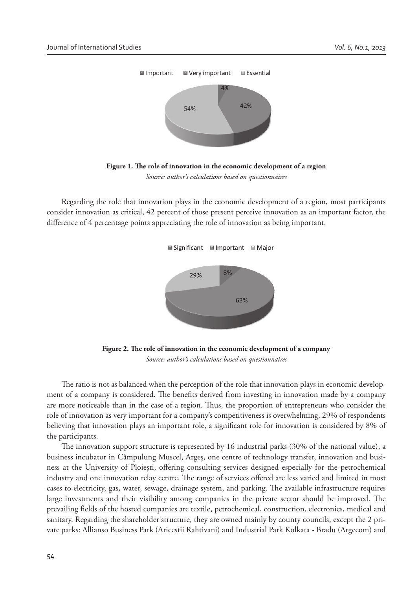



Regarding the role that innovation plays in the economic development of a region, most participants consider innovation as critical, 42 percent of those present perceive innovation as an important factor, the difference of 4 percentage points appreciating the role of innovation as being important.



Figure 2. The role of innovation in the economic development of a company *Source: author's calculations based on questionnaires* 

The ratio is not as balanced when the perception of the role that innovation plays in economic development of a company is considered. The benefits derived from investing in innovation made by a company are more noticeable than in the case of a region. Thus, the proportion of entrepreneurs who consider the role of innovation as very important for a company's competitiveness is overwhelming, 29% of respondents believing that innovation plays an important role, a significant role for innovation is considered by 8% of the participants.

The innovation support structure is represented by 16 industrial parks  $(30\%$  of the national value), a business incubator in Câmpulung Muscel, Argeș, one centre of technology transfer, innovation and business at the University of Ploiești, offering consulting services designed especially for the petrochemical industry and one innovation relay centre. The range of services offered are less varied and limited in most cases to electricity, gas, water, sewage, drainage system, and parking. The available infrastructure requires large investments and their visibility among companies in the private sector should be improved. The prevailing fields of the hosted companies are textile, petrochemical, construction, electronics, medical and sanitary. Regarding the shareholder structure, they are owned mainly by county councils, except the 2 private parks: Allianso Business Park (Aricestii Rahtivani) and Industrial Park Kolkata - Bradu (Argecom) and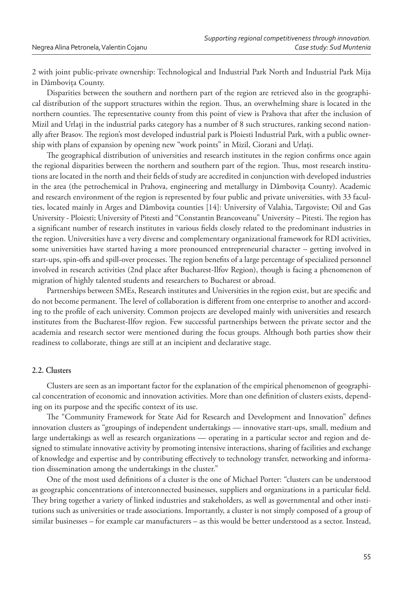2 with joint public-private ownership: Technological and Industrial Park North and Industrial Park Mija in Dâmboviţa County.

Disparities between the southern and northern part of the region are retrieved also in the geographical distribution of the support structures within the region. Thus, an overwhelming share is located in the northern counties. The representative county from this point of view is Prahova that after the inclusion of Mizil and Urlaţi in the industrial parks category has a number of 8 such structures, ranking second nationally after Brasov. The region's most developed industrial park is Ploiesti Industrial Park, with a public ownership with plans of expansion by opening new "work points" in Mizil, Ciorani and Urlaţi.

The geographical distribution of universities and research institutes in the region confirms once again the regional disparities between the northern and southern part of the region. Thus, most research institutions are located in the north and their fields of study are accredited in conjunction with developed industries in the area (the petrochemical in Prahova, engineering and metallurgy in Dâmboviţa County). Academic and research environment of the region is represented by four public and private universities, with 33 faculties, located mainly in Arges and Dâmboviţa counties [14]: University of Valahia, Targoviste; Oil and Gas University - Ploiesti; University of Pitesti and "Constantin Brancoveanu" University - Pitesti. The region has a significant number of research institutes in various fields closely related to the predominant industries in the region. Universities have a very diverse and complementary organizational framework for RDI activities, some universities have started having a more pronounced entrepreneurial character – getting involved in start-ups, spin-offs and spill-over processes. The region benefits of a large percentage of specialized personnel involved in research activities (2nd place after Bucharest-Ilfov Region), though is facing a phenomenon of migration of highly talented students and researchers to Bucharest or abroad.

Partnerships between SMEs, Research institutes and Universities in the region exist, but are specific and do not become permanent. The level of collaboration is different from one enterprise to another and according to the profile of each university. Common projects are developed mainly with universities and research institutes from the Bucharest-Ilfov region. Few successful partnerships between the private sector and the academia and research sector were mentioned during the focus groups. Although both parties show their readiness to collaborate, things are still at an incipient and declarative stage.

#### **2.2. Clusters**

Clusters are seen as an important factor for the explanation of the empirical phenomenon of geographical concentration of economic and innovation activities. More than one definition of clusters exists, depending on its purpose and the specific context of its use.

The "Community Framework for State Aid for Research and Development and Innovation" defines innovation clusters as "groupings of independent undertakings — innovative start-ups, small, medium and large undertakings as well as research organizations — operating in a particular sector and region and designed to stimulate innovative activity by promoting intensive interactions, sharing of facilities and exchange of knowledge and expertise and by contributing effectively to technology transfer, networking and information dissemination among the undertakings in the cluster."

One of the most used definitions of a cluster is the one of Michael Porter: "clusters can be understood as geographic concentrations of interconnected businesses, suppliers and organizations in a particular field. They bring together a variety of linked industries and stakeholders, as well as governmental and other institutions such as universities or trade associations. Importantly, a cluster is not simply composed of a group of similar businesses – for example car manufacturers – as this would be better understood as a sector. Instead,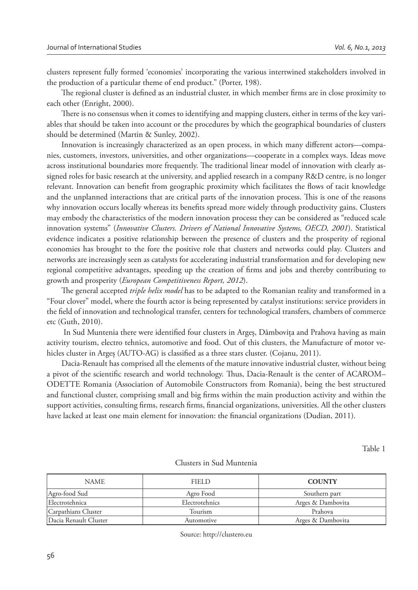clusters represent fully formed 'economies' incorporating the various intertwined stakeholders involved in the production of a particular theme of end product." (Porter, 198).

The regional cluster is defined as an industrial cluster, in which member firms are in close proximity to each other (Enright, 2000).

There is no consensus when it comes to identifying and mapping clusters, either in terms of the key variables that should be taken into account or the procedures by which the geographical boundaries of clusters should be determined (Martin & Sunley, 2002).

Innovation is increasingly characterized as an open process, in which many different actors—companies, customers, investors, universities, and other organizations—cooperate in a complex ways. Ideas move across institutional boundaries more frequently. The traditional linear model of innovation with clearly assigned roles for basic research at the university, and applied research in a company R&D centre, is no longer relevant. Innovation can benefit from geographic proximity which facilitates the flows of tacit knowledge and the unplanned interactions that are critical parts of the innovation process. This is one of the reasons why innovation occurs locally whereas its benefits spread more widely through productivity gains. Clusters may embody the characteristics of the modern innovation process**:** they can be considered as "reduced scale innovation systems" (*Innovative Clusters. Drivers of National Innovative Systems, OECD, 2001*). Statistical evidence indicates a positive relationship between the presence of clusters and the prosperity of regional economies has brought to the fore the positive role that clusters and networks could play. Clusters and networks are increasingly seen as catalysts for accelerating industrial transformation and for developing new regional competitive advantages, speeding up the creation of firms and jobs and thereby contributing to growth and prosperity (*European Competitiveness Report, 2012*).

The general accepted *triple helix model* has to be adapted to the Romanian reality and transformed in a "Four clover" model, where the fourth actor is being represented by catalyst institutions: service providers in the field of innovation and technological transfer, centers for technological transfers, chambers of commerce etc (Guth, 2010).

In Sud Muntenia there were identified four clusters in Arges, Dâmbovita and Prahova having as main activity tourism, electro tehnics, automotive and food. Out of this clusters, the Manufacture of motor vehicles cluster in Argeș (AUTO-AG) is classified as a three stars cluster. (Cojanu, 2011).

Dacia-Renault has comprised all the elements of the mature innovative industrial cluster, without being a pivot of the scientific research and world technology. Thus, Dacia-Renault is the center of ACAROM– ODETTE Romania (Association of Automobile Constructors from Romania), being the best structured and functional cluster, comprising small and big firms within the main production activity and within the support activities, consulting firms, research firms, financial organizations, universities. All the other clusters have lacked at least one main element for innovation: the financial organizations (Dudian, 2011).

Table 1

| <b>NAME</b>           | FIELD          | <b>COUNTY</b>     |
|-----------------------|----------------|-------------------|
| Agro-food Sud         | Agro Food      | Southern part     |
| Electrotehnica        | Electrotehnics | Arges & Dambovita |
| Carpathians Cluster   | Tourism        | Prahova           |
| Dacia Renault Cluster | Automotive     | Arges & Dambovita |

#### Clusters in Sud Muntenia

Source: http://clustero.eu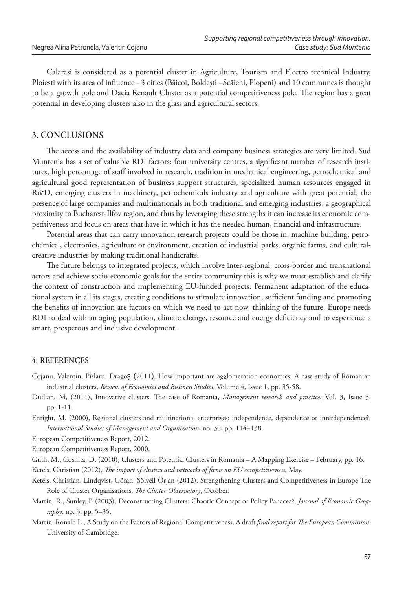Calarasi is considered as a potential cluster in Agriculture, Tourism and Electro technical Industry, Ploiesti with its area of influence - 3 cities (Băicoi, Boldești – Scăieni, Plopeni) and 10 communes is thought to be a growth pole and Dacia Renault Cluster as a potential competitiveness pole. The region has a great potential in developing clusters also in the glass and agricultural sectors.

### **3. CONCLUSIONS**

The access and the availability of industry data and company business strategies are very limited. Sud Muntenia has a set of valuable RDI factors: four university centres, a significant number of research institutes, high percentage of staff involved in research, tradition in mechanical engineering, petrochemical and agricultural good representation of business support structures, specialized human resources engaged in R&D, emerging clusters in machinery, petrochemicals industry and agriculture with great potential, the presence of large companies and multinationals in both traditional and emerging industries, a geographical proximity to Bucharest-Ilfov region, and thus by leveraging these strengths it can increase its economic competitiveness and focus on areas that have in which it has the needed human, financial and infrastructure.

Potential areas that can carry innovation research projects could be those in: machine building, petrochemical, electronics, agriculture or environment, creation of industrial parks, organic farms, and culturalcreative industries by making traditional handicrafts.

The future belongs to integrated projects, which involve inter-regional, cross-border and transnational actors and achieve socio-economic goals for the entire community this is why we must establish and clarify the context of construction and implementing EU-funded projects. Permanent adaptation of the educational system in all its stages, creating conditions to stimulate innovation, sufficient funding and promoting the benefits of innovation are factors on which we need to act now, thinking of the future. Europe needs RDI to deal with an aging population, climate change, resource and energy deficiency and to experience a smart, prosperous and inclusive development.

#### **4. REFERENCES**

- Cojanu, Valentin, Pîslaru, DragoȘ (2011), How important are agglomeration economies: A case study of Romanian industrial clusters, *Review of Economics and Business Studies*, Volume 4, Issue 1, pp. 35-58.
- Dudian, M, (2011), Innovative clusters. The case of Romania, *Management research and practice*, Vol. 3, Issue 3, pp. 1-11.
- Enright, M. (2000), Regional clusters and multinational enterprises: independence, dependence or interdependence?, *International Studies of Management and Organization*, no. 30, pp. 114–138.

European Competitiveness Report, 2012.

European Competitiveness Report, 2000.

Guth, M., Cosnita, D. (2010), Clusters and Potential Clusters in Romania – A Mapping Exercise – February, pp. 16.

Ketels, Christian (2012), *The impact of clusters and networks of firms on EU competitiveness*, May.

- Ketels, Christian, Lindqvist, Göran, Sölvell Örjan (2012), Strengthening Clusters and Competitiveness in Europe The Role of Cluster Organisations, *The Cluster Observatory*, October.
- Martin, R., Sunley, P. (2003), Deconstructing Clusters: Chaotic Concept or Policy Panacea?, *Journal of Economic Geography*, no. 3, pp. 5–35.
- Martin, Ronald L., A Study on the Factors of Regional Competitiveness. A draft *final report for The European Commission*, University of Cambridge.